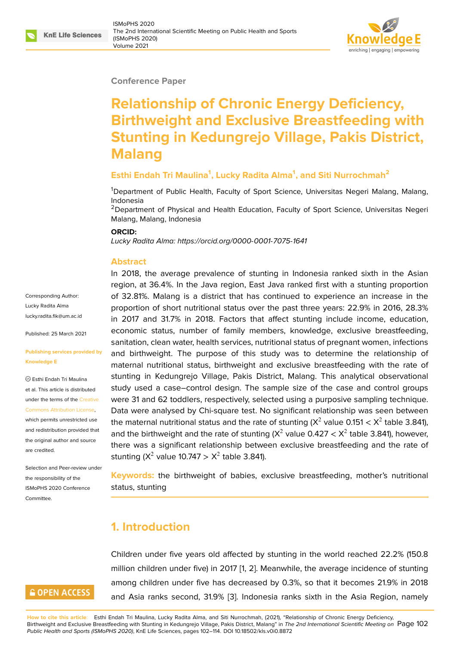#### **Conference Paper**

# **Relationship of Chronic Energy Deficiency, Birthweight and Exclusive Breastfeeding with Stunting in Kedungrejo Village, Pakis District, Malang**

#### **Esthi Endah Tri Maulina<sup>1</sup> , Lucky Radita Alma<sup>1</sup> , and Siti Nurrochmah<sup>2</sup>**

<sup>1</sup>Department of Public Health, Faculty of Sport Science, Universitas Negeri Malang, Malang, Indonesia

<sup>2</sup>Department of Physical and Health Education, Faculty of Sport Science, Universitas Negeri Malang, Malang, Indonesia

#### **ORCID:**

*Lucky Radita Alma: https://orcid.org/0000-0001-7075-1641*

#### **Abstract**

Corresponding Author: Lucky Radita Alma lucky.radita.fik@um.ac.id

Published: 25 March 2021

#### **[Publishing services prov](mailto:lucky.radita.fik@um.ac.id)ided by Knowledge E**

Esthi Endah Tri Maulina et al. This article is distributed under the terms of the Creative Commons Attribution License,

which permits unrestricted use and redistribution provided that the original author and [source](https://creativecommons.org/licenses/by/4.0/) [are credited.](https://creativecommons.org/licenses/by/4.0/)

Selection and Peer-review under the responsibility of the ISMoPHS 2020 Conference Committee.

# **GOPEN ACCESS**

In 2018, the aver[age prevalence of stunting in Indo](https://orcid.org/0000-0001-7075-1641)nesia ranked sixth in the Asian region, at 36.4%. In the Java region, East Java ranked first with a stunting proportion of 32.81%. Malang is a district that has continued to experience an increase in the proportion of short nutritional status over the past three years: 22.9% in 2016, 28.3% in 2017 and 31.7% in 2018. Factors that affect stunting include income, education, economic status, number of family members, knowledge, exclusive breastfeeding, sanitation, clean water, health services, nutritional status of pregnant women, infections and birthweight. The purpose of this study was to determine the relationship of maternal nutritional status, birthweight and exclusive breastfeeding with the rate of stunting in Kedungrejo Village, Pakis District, Malang. This analytical observational study used a case–control design. The sample size of the case and control groups were 31 and 62 toddlers, respectively, selected using a purposive sampling technique. Data were analysed by Chi-square test. No significant relationship was seen between the maternal nutritional status and the rate of stunting (X $^2$  value 0.151  $<$  X $^2$  table 3.841), and the birthweight and the rate of stunting (X<sup>2</sup> value 0.427  $<$  X<sup>2</sup> table 3.841), however, there was a significant relationship between exclusive breastfeeding and the rate of stunting (X<sup>2</sup> value 10.747  $>$  X<sup>2</sup> table 3.841).

**Keywords:** the birthweight of babies, exclusive breastfeeding, mother's nutritional status, stunting

# **1. Introduction**

Children under five years old affected by stunting in the world reached 22.2% (150.8 million children under five) in 2017 [1, 2]. Meanwhile, the average incidence of stunting among children under five has decreased by 0.3%, so that it becomes 21.9% in 2018 and Asia ranks second, 31.9% [3]. Indonesia ranks sixth in the Asia Region, namely

**How to cite this article**: Esthi Endah Tri Maulina, Lucky Radita Alma, and Siti Nurrochmah, (2021), "Relationship of Chronic Energy Deficiency, Birthweight and Exclusive Breastfeeding with Stunting in Kedungrejo Village, Pakis District, Malang" in *The 2nd International Scientific Meeting on* Page 102 *Public Health and Sports (ISMoPHS 2020)*, KnE Life Sciences, pages 102–114. D[OI](#page-9-0) 10.18502/kls.v0i0.8872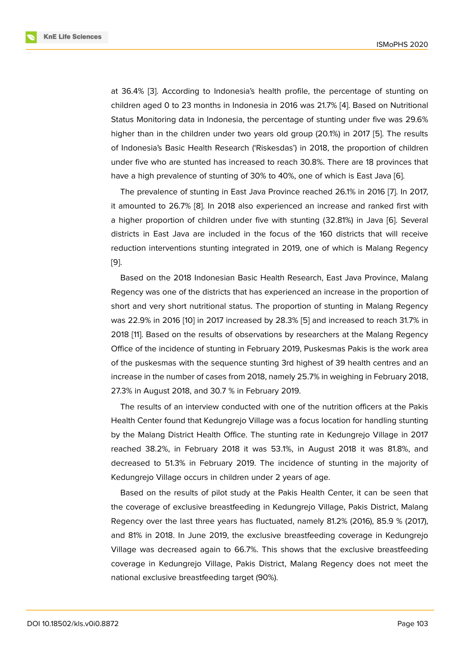at 36.4% [3]. According to Indonesia's health profile, the percentage of stunting on children aged 0 to 23 months in Indonesia in 2016 was 21.7% [4]. Based on Nutritional Status Monitoring data in Indonesia, the percentage of stunting under five was 29.6% higher tha[n](#page-9-0) in the children under two years old group (20.1%) in 2017 [5]. The results of Indonesia's Basic Health Research ('Riskesdas') in 2018, th[e](#page-9-1) proportion of children under five who are stunted has increased to reach 30.8%. There are 18 provinces that have a high prevalence of stunting of 30% to 40%, one of which is East [Ja](#page-9-2)va [6].

The prevalence of stunting in East Java Province reached 26.1% in 2016 [7]. In 2017, it amounted to 26.7% [8]. In 2018 also experienced an increase and ranked first with a higher proportion of children under five with stunting (32.81%) in Java [6][. S](#page-9-3)everal districts in East Java are included in the focus of the 160 districts that [wil](#page-9-4)l receive reduction intervention[s s](#page-9-5)tunting integrated in 2019, one of which is Malang Regency [9].

Based on the 2018 Indonesian Basic Health Research, East Java Province, Malang Regency was one of the districts that has experienced an increase in the proportion of [sh](#page-9-6)ort and very short nutritional status. The proportion of stunting in Malang Regency was 22.9% in 2016 [10] in 2017 increased by 28.3% [5] and increased to reach 31.7% in 2018 [11]. Based on the results of observations by researchers at the Malang Regency Office of the incidence of stunting in February 2019, Puskesmas Pakis is the work area of the puskesmas [with](#page-9-7) the sequence stunting 3rd hi[g](#page-9-2)hest of 39 health centres and an incre[ase](#page-9-8) in the number of cases from 2018, namely 25.7% in weighing in February 2018, 27.3% in August 2018, and 30.7 % in February 2019.

The results of an interview conducted with one of the nutrition officers at the Pakis Health Center found that Kedungrejo Village was a focus location for handling stunting by the Malang District Health Office. The stunting rate in Kedungrejo Village in 2017 reached 38.2%, in February 2018 it was 53.1%, in August 2018 it was 81.8%, and decreased to 51.3% in February 2019. The incidence of stunting in the majority of Kedungrejo Village occurs in children under 2 years of age.

Based on the results of pilot study at the Pakis Health Center, it can be seen that the coverage of exclusive breastfeeding in Kedungrejo Village, Pakis District, Malang Regency over the last three years has fluctuated, namely 81.2% (2016), 85.9 % (2017), and 81% in 2018. In June 2019, the exclusive breastfeeding coverage in Kedungrejo Village was decreased again to 66.7%. This shows that the exclusive breastfeeding coverage in Kedungrejo Village, Pakis District, Malang Regency does not meet the national exclusive breastfeeding target (90%).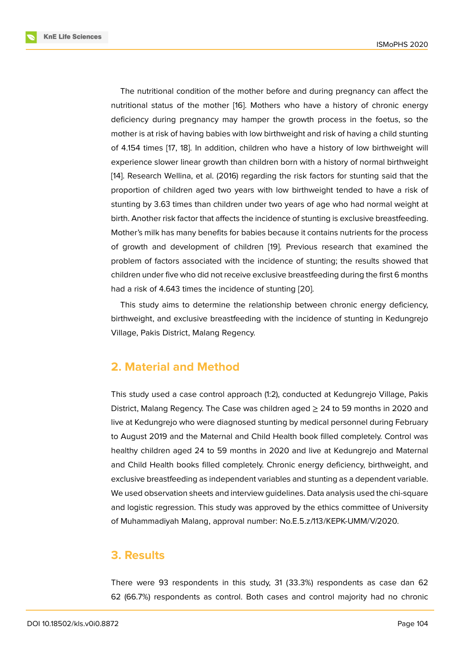The nutritional condition of the mother before and during pregnancy can affect the nutritional status of the mother [16]. Mothers who have a history of chronic energy deficiency during pregnancy may hamper the growth process in the foetus, so the mother is at risk of having babies with low birthweight and risk of having a child stunting of 4.154 times [17, 18]. In addition[, c](#page-10-0)hildren who have a history of low birthweight will experience slower linear growth than children born with a history of normal birthweight [14]. Research Wellina, et al. (2016) regarding the risk factors for stunting said that the proportion of c[hil](#page-10-1)[dre](#page-10-2)n aged two years with low birthweight tended to have a risk of stunting by 3.63 times than children under two years of age who had normal weight at [bir](#page-10-3)th. Another risk factor that affects the incidence of stunting is exclusive breastfeeding. Mother's milk has many benefits for babies because it contains nutrients for the process of growth and development of children [19]. Previous research that examined the problem of factors associated with the incidence of stunting; the results showed that children under five who did not receive exclusive breastfeeding during the first 6 months had a risk of 4.643 times the incidence of [stun](#page-10-4)ting [20].

This study aims to determine the relationship between chronic energy deficiency, birthweight, and exclusive breastfeeding with the incidence of stunting in Kedungrejo Village, Pakis District, Malang Regency.

### **2. Material and Method**

This study used a case control approach (1:2), conducted at Kedungrejo Village, Pakis District, Malang Regency. The Case was children aged  $\geq$  24 to 59 months in 2020 and live at Kedungrejo who were diagnosed stunting by medical personnel during February to August 2019 and the Maternal and Child Health book filled completely. Control was healthy children aged 24 to 59 months in 2020 and live at Kedungrejo and Maternal and Child Health books filled completely. Chronic energy deficiency, birthweight, and exclusive breastfeeding as independent variables and stunting as a dependent variable. We used observation sheets and interview guidelines. Data analysis used the chi-square and logistic regression. This study was approved by the ethics committee of University of Muhammadiyah Malang, approval number: No.E.5.z/113/KEPK-UMM/V/2020.

### **3. Results**

There were 93 respondents in this study, 31 (33.3%) respondents as case dan 62 62 (66.7%) respondents as control. Both cases and control majority had no chronic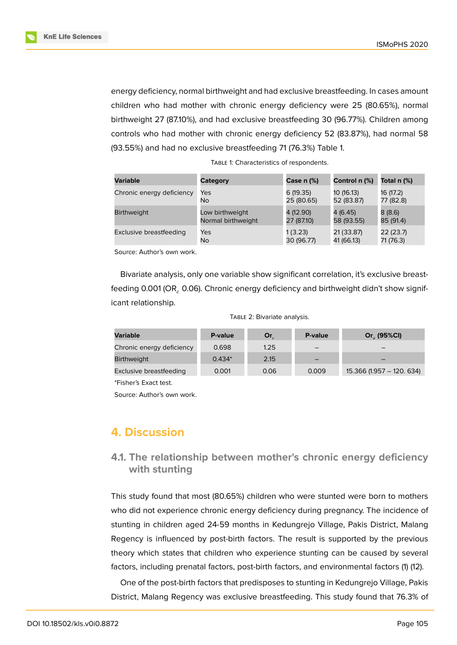

energy deficiency, normal birthweight and had exclusive breastfeeding. In cases amount children who had mother with chronic energy deficiency were 25 (80.65%), normal birthweight 27 (87.10%), and had exclusive breastfeeding 30 (96.77%). Children among controls who had mother with chronic energy deficiency 52 (83.87%), had normal 58 (93.55%) and had no exclusive breastfeeding 71 (76.3%) Table 1.

| Variable                  | Category           | <b>Case n (%)</b> | Control n (%) | Total n (%) |
|---------------------------|--------------------|-------------------|---------------|-------------|
| Chronic energy deficiency | Yes                | 6 (19.35)         | 10 (16.13)    | 16 (17.2)   |
|                           | No                 | 25 (80.65)        | 52 (83.87)    | 77 (82.8)   |
| <b>Birthweight</b>        | Low birthweight    | 4 (12.90)         | 4 (6.45)      | 8(8.6)      |
|                           | Normal birthweight | 27 (87.10)        | 58 (93.55)    | 85 (91.4)   |
| Exclusive breastfeeding   | Yes                | 1 (3.23)          | 21 (33.87)    | 22 (23.7)   |
|                           | No.                | 30 (96.77)        | 41 (66.13)    | 71 (76.3)   |

| TABLE 1: Characteristics of respondents. |
|------------------------------------------|
|------------------------------------------|

Source: Author's own work.

Bivariate analysis, only one variable show significant correlation, it's exclusive breastfeeding 0.001 (OR, 0.06). Chronic energy deficiency and birthweight didn't show significant relationship.

|  |  | TABLE 2: Bivariate analysis. |  |
|--|--|------------------------------|--|
|--|--|------------------------------|--|

| Variable                  | P-value  | $Or_{c}$ | P-value | Or (95%CI)                |
|---------------------------|----------|----------|---------|---------------------------|
| Chronic energy deficiency | 0.698    | 1.25     |         |                           |
| <b>Birthweight</b>        | $0.434*$ | 2.15     |         |                           |
| Exclusive breastfeeding   | 0.001    | 0.06     | 0.009   | 15.366 (1.957 - 120, 634) |
|                           |          |          |         |                           |

\*Fisher's Exact test.

Source: Author's own work.

# **4. Discussion**

### **4.1. The relationship between mother's chronic energy deficiency with stunting**

This study found that most (80.65%) children who were stunted were born to mothers who did not experience chronic energy deficiency during pregnancy. The incidence of stunting in children aged 24-59 months in Kedungrejo Village, Pakis District, Malang Regency is influenced by post-birth factors. The result is supported by the previous theory which states that children who experience stunting can be caused by several factors, including prenatal factors, post-birth factors, and environmental factors (1) (12).

One of the post-birth factors that predisposes to stunting in Kedungrejo Village, Pakis District, Malang Regency was exclusive breastfeeding. This study found that 76.3% of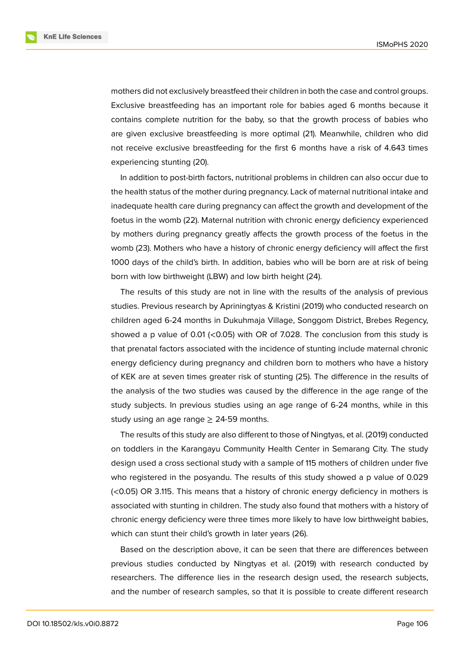**KnE Life Sciences** 



mothers did not exclusively breastfeed their children in both the case and control groups. Exclusive breastfeeding has an important role for babies aged 6 months because it contains complete nutrition for the baby, so that the growth process of babies who are given exclusive breastfeeding is more optimal (21). Meanwhile, children who did not receive exclusive breastfeeding for the first 6 months have a risk of 4.643 times experiencing stunting (20).

In addition to post-birth factors, nutritional problems in children can also occur due to the health status of the mother during pregnancy. Lack of maternal nutritional intake and inadequate health care during pregnancy can affect the growth and development of the foetus in the womb (22). Maternal nutrition with chronic energy deficiency experienced by mothers during pregnancy greatly affects the growth process of the foetus in the womb (23). Mothers who have a history of chronic energy deficiency will affect the first 1000 days of the child's birth. In addition, babies who will be born are at risk of being born with low birthweight (LBW) and low birth height (24).

The results of this study are not in line with the results of the analysis of previous studies. Previous research by Apriningtyas & Kristini (2019) who conducted research on children aged 6-24 months in Dukuhmaja Village, Songgom District, Brebes Regency, showed a p value of 0.01 ( $<$ 0.05) with OR of 7.028. The conclusion from this study is that prenatal factors associated with the incidence of stunting include maternal chronic energy deficiency during pregnancy and children born to mothers who have a history of KEK are at seven times greater risk of stunting (25). The difference in the results of the analysis of the two studies was caused by the difference in the age range of the study subjects. In previous studies using an age range of 6-24 months, while in this study using an age range  $\geq$  24-59 months.

The results of this study are also different to those of Ningtyas, et al. (2019) conducted on toddlers in the Karangayu Community Health Center in Semarang City. The study design used a cross sectional study with a sample of 115 mothers of children under five who registered in the posyandu. The results of this study showed a p value of 0.029 (<0.05) OR 3.115. This means that a history of chronic energy deficiency in mothers is associated with stunting in children. The study also found that mothers with a history of chronic energy deficiency were three times more likely to have low birthweight babies, which can stunt their child's growth in later years (26).

Based on the description above, it can be seen that there are differences between previous studies conducted by Ningtyas et al. (2019) with research conducted by researchers. The difference lies in the research design used, the research subjects, and the number of research samples, so that it is possible to create different research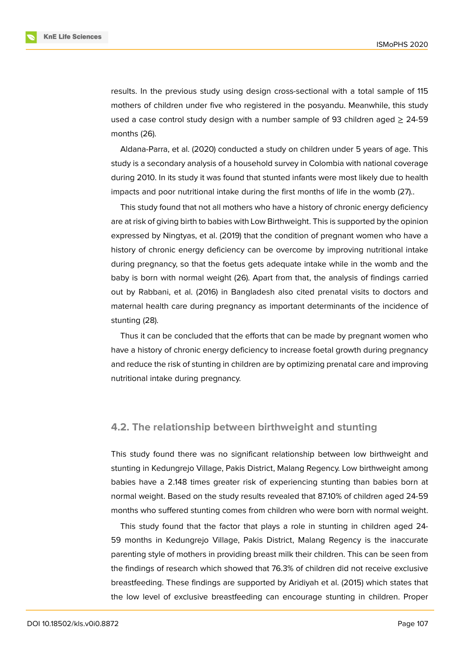results. In the previous study using design cross-sectional with a total sample of 115 mothers of children under five who registered in the posyandu. Meanwhile, this study used a case control study design with a number sample of 93 children aged  $\geq$  24-59 months (26).

Aldana-Parra, et al. (2020) conducted a study on children under 5 years of age. This study is a secondary analysis of a household survey in Colombia with national coverage during 2010. In its study it was found that stunted infants were most likely due to health impacts and poor nutritional intake during the first months of life in the womb (27)..

This study found that not all mothers who have a history of chronic energy deficiency are at risk of giving birth to babies with Low Birthweight. This is supported by the opinion expressed by Ningtyas, et al. (2019) that the condition of pregnant women who have a history of chronic energy deficiency can be overcome by improving nutritional intake during pregnancy, so that the foetus gets adequate intake while in the womb and the baby is born with normal weight (26). Apart from that, the analysis of findings carried out by Rabbani, et al. (2016) in Bangladesh also cited prenatal visits to doctors and maternal health care during pregnancy as important determinants of the incidence of stunting (28).

Thus it can be concluded that the efforts that can be made by pregnant women who have a history of chronic energy deficiency to increase foetal growth during pregnancy and reduce the risk of stunting in children are by optimizing prenatal care and improving nutritional intake during pregnancy.

#### **4.2. The relationship between birthweight and stunting**

This study found there was no significant relationship between low birthweight and stunting in Kedungrejo Village, Pakis District, Malang Regency. Low birthweight among babies have a 2.148 times greater risk of experiencing stunting than babies born at normal weight. Based on the study results revealed that 87.10% of children aged 24-59 months who suffered stunting comes from children who were born with normal weight.

This study found that the factor that plays a role in stunting in children aged 24- 59 months in Kedungrejo Village, Pakis District, Malang Regency is the inaccurate parenting style of mothers in providing breast milk their children. This can be seen from the findings of research which showed that 76.3% of children did not receive exclusive breastfeeding. These findings are supported by Aridiyah et al. (2015) which states that the low level of exclusive breastfeeding can encourage stunting in children. Proper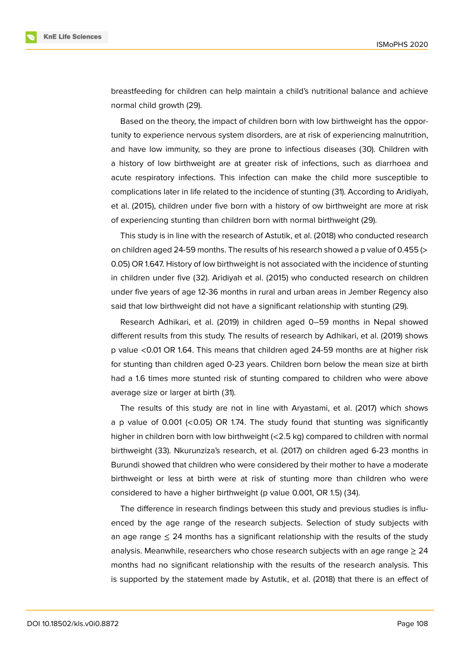

breastfeeding for children can help maintain a child's nutritional balance and achieve normal child growth (29).

Based on the theory, the impact of children born with low birthweight has the opportunity to experience nervous system disorders, are at risk of experiencing malnutrition, and have low immunity, so they are prone to infectious diseases (30). Children with a history of low birthweight are at greater risk of infections, such as diarrhoea and acute respiratory infections. This infection can make the child more susceptible to complications later in life related to the incidence of stunting (31). According to Aridiyah, et al. (2015), children under five born with a history of ow birthweight are more at risk of experiencing stunting than children born with normal birthweight (29).

This study is in line with the research of Astutik, et al. (2018) who conducted research on children aged 24-59 months. The results of his research showed a p value of 0.455 (> 0.05) OR 1.647. History of low birthweight is not associated with the incidence of stunting in children under five (32). Aridiyah et al. (2015) who conducted research on children under five years of age 12-36 months in rural and urban areas in Jember Regency also said that low birthweight did not have a significant relationship with stunting (29).

Research Adhikari, et al. (2019) in children aged 0–59 months in Nepal showed different results from this study. The results of research by Adhikari, et al. (2019) shows p value <0.01 OR 1.64. This means that children aged 24-59 months are at higher risk for stunting than children aged 0-23 years. Children born below the mean size at birth had a 1.6 times more stunted risk of stunting compared to children who were above average size or larger at birth (31).

The results of this study are not in line with Aryastami, et al. (2017) which shows a p value of 0.001 ( $<$ 0.05) OR 1.74. The study found that stunting was significantly higher in children born with low birthweight (<2.5 kg) compared to children with normal birthweight (33). Nkurunziza's research, et al. (2017) on children aged 6-23 months in Burundi showed that children who were considered by their mother to have a moderate birthweight or less at birth were at risk of stunting more than children who were considered to have a higher birthweight (p value 0.001, OR 1.5) (34).

The difference in research findings between this study and previous studies is influenced by the age range of the research subjects. Selection of study subjects with an age range  $\leq$  24 months has a significant relationship with the results of the study analysis. Meanwhile, researchers who chose research subjects with an age range  $\geq 24$ months had no significant relationship with the results of the research analysis. This is supported by the statement made by Astutik, et al. (2018) that there is an effect of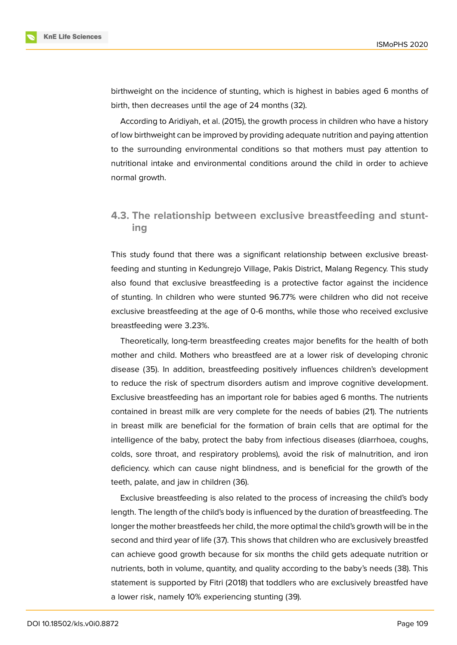

birthweight on the incidence of stunting, which is highest in babies aged 6 months of birth, then decreases until the age of 24 months (32).

According to Aridiyah, et al. (2015), the growth process in children who have a history of low birthweight can be improved by providing adequate nutrition and paying attention to the surrounding environmental conditions so that mothers must pay attention to nutritional intake and environmental conditions around the child in order to achieve normal growth.

### **4.3. The relationship between exclusive breastfeeding and stunting**

This study found that there was a significant relationship between exclusive breastfeeding and stunting in Kedungrejo Village, Pakis District, Malang Regency. This study also found that exclusive breastfeeding is a protective factor against the incidence of stunting. In children who were stunted 96.77% were children who did not receive exclusive breastfeeding at the age of 0-6 months, while those who received exclusive breastfeeding were 3.23%.

Theoretically, long-term breastfeeding creates major benefits for the health of both mother and child. Mothers who breastfeed are at a lower risk of developing chronic disease (35). In addition, breastfeeding positively influences children's development to reduce the risk of spectrum disorders autism and improve cognitive development. Exclusive breastfeeding has an important role for babies aged 6 months. The nutrients contained in breast milk are very complete for the needs of babies (21). The nutrients in breast milk are beneficial for the formation of brain cells that are optimal for the intelligence of the baby, protect the baby from infectious diseases (diarrhoea, coughs, colds, sore throat, and respiratory problems), avoid the risk of malnutrition, and iron deficiency. which can cause night blindness, and is beneficial for the growth of the teeth, palate, and jaw in children (36).

Exclusive breastfeeding is also related to the process of increasing the child's body length. The length of the child's body is influenced by the duration of breastfeeding. The longer the mother breastfeeds her child, the more optimal the child's growth will be in the second and third year of life (37). This shows that children who are exclusively breastfed can achieve good growth because for six months the child gets adequate nutrition or nutrients, both in volume, quantity, and quality according to the baby's needs (38). This statement is supported by Fitri (2018) that toddlers who are exclusively breastfed have a lower risk, namely 10% experiencing stunting (39).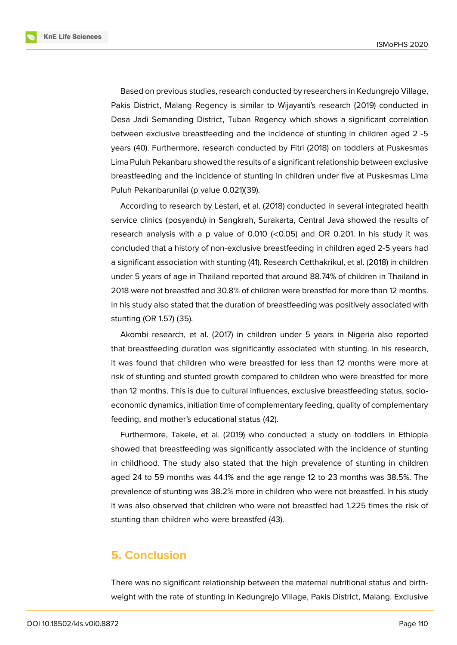**KnE Life Sciences** 



Based on previous studies, research conducted by researchers in Kedungrejo Village, Pakis District, Malang Regency is similar to Wijayanti's research (2019) conducted in Desa Jadi Semanding District, Tuban Regency which shows a significant correlation between exclusive breastfeeding and the incidence of stunting in children aged 2 -5 years (40). Furthermore, research conducted by Fitri (2018) on toddlers at Puskesmas Lima Puluh Pekanbaru showed the results of a significant relationship between exclusive breastfeeding and the incidence of stunting in children under five at Puskesmas Lima Puluh Pekanbarunilai (p value 0.021)(39).

According to research by Lestari, et al. (2018) conducted in several integrated health service clinics (posyandu) in Sangkrah, Surakarta, Central Java showed the results of research analysis with a p value of 0.010 (<0.05) and OR 0.201. In his study it was concluded that a history of non-exclusive breastfeeding in children aged 2-5 years had a significant association with stunting (41). Research Cetthakrikul, et al. (2018) in children under 5 years of age in Thailand reported that around 88.74% of children in Thailand in 2018 were not breastfed and 30.8% of children were breastfed for more than 12 months. In his study also stated that the duration of breastfeeding was positively associated with stunting (OR 1.57) (35).

Akombi research, et al. (2017) in children under 5 years in Nigeria also reported that breastfeeding duration was significantly associated with stunting. In his research, it was found that children who were breastfed for less than 12 months were more at risk of stunting and stunted growth compared to children who were breastfed for more than 12 months. This is due to cultural influences, exclusive breastfeeding status, socioeconomic dynamics, initiation time of complementary feeding, quality of complementary feeding, and mother's educational status (42).

Furthermore, Takele, et al. (2019) who conducted a study on toddlers in Ethiopia showed that breastfeeding was significantly associated with the incidence of stunting in childhood. The study also stated that the high prevalence of stunting in children aged 24 to 59 months was 44.1% and the age range 12 to 23 months was 38.5%. The prevalence of stunting was 38.2% more in children who were not breastfed. In his study it was also observed that children who were not breastfed had 1,225 times the risk of stunting than children who were breastfed (43).

# **5. Conclusion**

There was no significant relationship between the maternal nutritional status and birthweight with the rate of stunting in Kedungrejo Village, Pakis District, Malang. Exclusive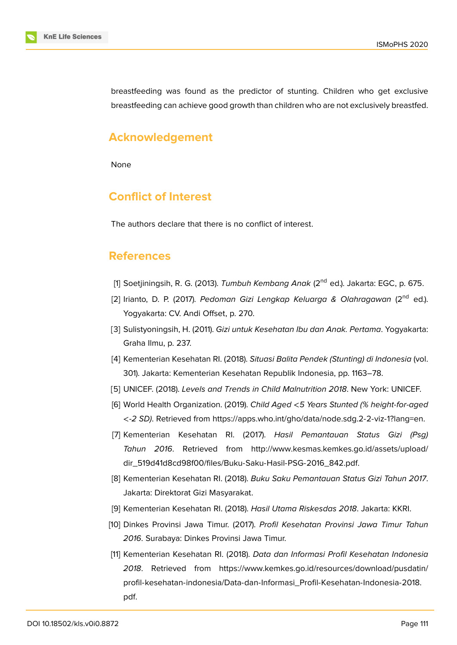breastfeeding was found as the predictor of stunting. Children who get exclusive breastfeeding can achieve good growth than children who are not exclusively breastfed.

# **Acknowledgement**

None

# **Conflict of Interest**

The authors declare that there is no conflict of interest.

### **References**

- [1] Soetjiningsih, R. G. (2013). *Tumbuh Kembang Anak* (2nd ed.). Jakarta: EGC, p. 675.
- [2] Irianto, D. P. (2017). *Pedoman Gizi Lengkap Keluarga & Olahragawan* (2nd ed.). Yogyakarta: CV. Andi Offset, p. 270.
- [3] Sulistyoningsih, H. (2011). *Gizi untuk Kesehatan Ibu dan Anak. Pertama*. Yogyakarta: Graha Ilmu, p. 237.
- <span id="page-9-0"></span>[4] Kementerian Kesehatan RI. (2018). *Situasi Balita Pendek (Stunting) di Indonesia* (vol. 301). Jakarta: Kementerian Kesehatan Republik Indonesia, pp. 1163–78.
- <span id="page-9-1"></span>[5] UNICEF. (2018). *Levels and Trends in Child Malnutrition 2018*. New York: UNICEF.
- <span id="page-9-2"></span>[6] World Health Organization. (2019). *Child Aged* <*5 Years Stunted (% height-for-aged* <*-2 SD)*. Retrieved from https://apps.who.int/gho/data/node.sdg.2-2-viz-1?lang=en.
- <span id="page-9-3"></span>[7] Kementerian Kesehatan RI. (2017). *Hasil Pemantauan Status Gizi (Psg) Tahun 2016*. Retrieved from http://www.kesmas.kemkes.go.id/assets/upload/ dir\_519d41d8cd98f00/fi[les/Buku-Saku-Hasil-PSG-2016\\_842.pdf.](https://apps.who.int/gho/data/node.sdg.2-2-viz-1?lang=en)
- <span id="page-9-4"></span>[8] Kementerian Kesehatan RI. (2018). *Buku Saku Pemantauan Status Gizi Tahun 2017*. Jakarta: Direktorat Gizi Masyarakat[.](http://www.kesmas.kemkes.go.id/assets/upload/dir_519d41d8cd98f00/files/Buku-Saku-Hasil-PSG-2016_842.pdf.)
- <span id="page-9-5"></span>[9] [Kementerian Kesehatan RI. \(2018\).](http://www.kesmas.kemkes.go.id/assets/upload/dir_519d41d8cd98f00/files/Buku-Saku-Hasil-PSG-2016_842.pdf.) *Hasil Utama Riskesdas 2018*. Jakarta: KKRI.
- <span id="page-9-6"></span>[10] Dinkes Provinsi Jawa Timur. (2017). *Profil Kesehatan Provinsi Jawa Timur Tahun 2016*. Surabaya: Dinkes Provinsi Jawa Timur.
- <span id="page-9-8"></span><span id="page-9-7"></span>[11] Kementerian Kesehatan RI. (2018). *Data dan Informasi Profil Kesehatan Indonesia 2018*. Retrieved from https://www.kemkes.go.id/resources/download/pusdatin/ profil-kesehatan-indonesia/Data-dan-Informasi\_Profil-Kesehatan-Indonesia-2018. pdf.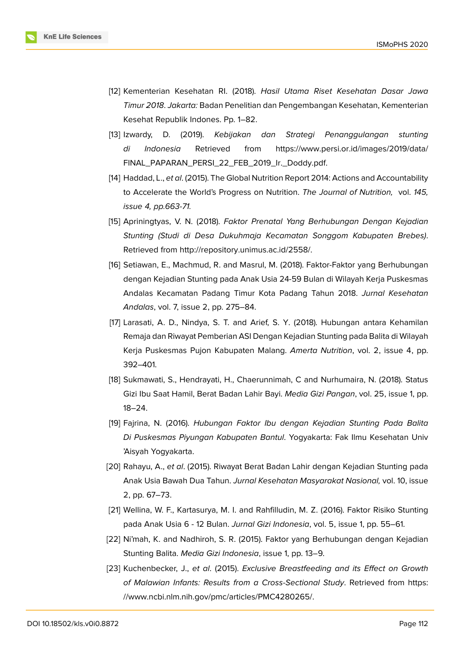- [12] Kementerian Kesehatan RI. (2018). *Hasil Utama Riset Kesehatan Dasar Jawa Timur 2018*. *Jakarta:* Badan Penelitian dan Pengembangan Kesehatan, Kementerian Kesehat Republik Indones. Pp. 1–82.
- [13] Izwardy, D. (2019). *Kebijakan dan Strategi Penanggulangan stunting di Indonesia* Retrieved from https://www.persi.or.id/images/2019/data/ FINAL\_PAPARAN\_PERSI\_22\_FEB\_2019\_Ir.\_Doddy.pdf.
- [14] Haddad, L., *et al*. (2015). The Global Nutrition Report 2014: Actions and Accountability to Accelerate the World's Progress on Nutrition. *[The Journal of Nutrition,](https://www.persi.or.id/images/2019/data/FINAL_PAPARAN_PERSI_22_FEB_2019_Ir._Doddy.pdf.)* vol. *145, [issue 4, pp.663-71.](https://www.persi.or.id/images/2019/data/FINAL_PAPARAN_PERSI_22_FEB_2019_Ir._Doddy.pdf.)*
- <span id="page-10-3"></span>[15] Apriningtyas, V. N. (2018). *Faktor Prenatal Yang Berhubungan Dengan Kejadian Stunting (Studi di Desa Dukuhmaja Kecamatan Songgom Kabupaten Brebes)*. Retrieved from http://repository.unimus.ac.id/2558/.
- [16] Setiawan, E., Machmud, R. and Masrul, M. (2018). Faktor-Faktor yang Berhubungan dengan Kejadian Stunting pada Anak Usia 24-59 Bulan di Wilayah Kerja Puskesmas Andalas Keca[matan Padang Timur Kota Padang](http://repository.unimus.ac.id/2558/) Tahun 2018. *Jurnal Kesehatan Andalas*, vol. 7, issue 2, pp. 275–84.
- <span id="page-10-0"></span>[17] Larasati, A. D., Nindya, S. T. and Arief, S. Y. (2018). Hubungan antara Kehamilan Remaja dan Riwayat Pemberian ASI Dengan Kejadian Stunting pada Balita di Wilayah Kerja Puskesmas Pujon Kabupaten Malang. *Amerta Nutrition*, vol. 2, issue 4, pp. 392–401.
- <span id="page-10-1"></span>[18] Sukmawati, S., Hendrayati, H., Chaerunnimah, C and Nurhumaira, N. (2018). Status Gizi Ibu Saat Hamil, Berat Badan Lahir Bayi. *Media Gizi Pangan*, vol. 25, issue 1, pp. 18–24.
- <span id="page-10-2"></span>[19] Fajrina, N. (2016). *Hubungan Faktor Ibu dengan Kejadian Stunting Pada Balita Di Puskesmas Piyungan Kabupaten Bantul*. Yogyakarta: Fak Ilmu Kesehatan Univ 'Aisyah Yogyakarta.
- <span id="page-10-4"></span>[20] Rahayu, A., *et al*. (2015). Riwayat Berat Badan Lahir dengan Kejadian Stunting pada Anak Usia Bawah Dua Tahun. *Jurnal Kesehatan Masyarakat Nasional,* vol. 10, issue 2, pp. 67–73.
- [21] Wellina, W. F., Kartasurya, M. I. and Rahfilludin, M. Z. (2016). Faktor Risiko Stunting pada Anak Usia 6 - 12 Bulan. *Jurnal Gizi Indonesia*, vol. 5, issue 1, pp. 55–61.
- [22] Ni'mah, K. and Nadhiroh, S. R. (2015). Faktor yang Berhubungan dengan Kejadian Stunting Balita. *Media Gizi Indonesia*, issue 1, pp. 13–9.
- [23] Kuchenbecker, J., *et al*. (2015). *Exclusive Breastfeeding and its Effect on Growth of Malawian Infants: Results from a Cross-Sectional Study*. Retrieved from https: //www.ncbi.nlm.nih.gov/pmc/articles/PMC4280265/.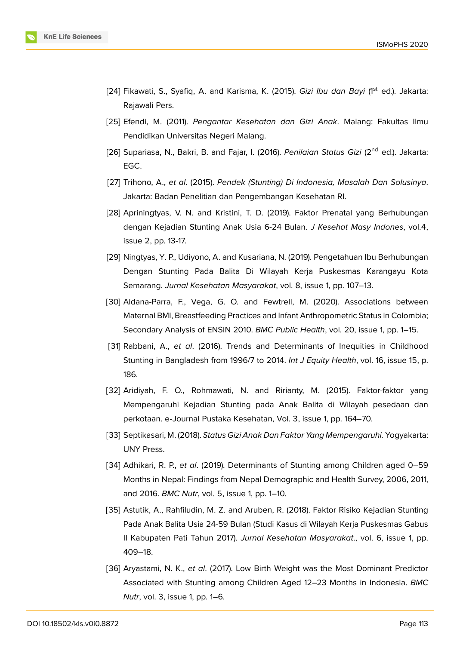

- [24] Fikawati, S., Syafiq, A. and Karisma, K. (2015). *Gizi Ibu dan Bayi* (1<sup>st</sup> ed.). Jakarta: Rajawali Pers.
- [25] Efendi, M. (2011). *Pengantar Kesehatan dan Gizi Anak*. Malang: Fakultas Ilmu Pendidikan Universitas Negeri Malang.
- [26] Supariasa, N., Bakri, B. and Fajar, I. (2016). *Penilaian Status Gizi* (2<sup>nd</sup> ed.). Jakarta: EGC.
- [27] Trihono, A., *et al*. (2015). *Pendek (Stunting) Di Indonesia, Masalah Dan Solusinya*. Jakarta: Badan Penelitian dan Pengembangan Kesehatan RI.
- [28] Apriningtyas, V. N. and Kristini, T. D. (2019). Faktor Prenatal yang Berhubungan dengan Kejadian Stunting Anak Usia 6-24 Bulan. *J Kesehat Masy Indones*, vol.4, issue 2, pp. 13-17.
- [29] Ningtyas, Y. P., Udiyono, A. and Kusariana, N. (2019). Pengetahuan Ibu Berhubungan Dengan Stunting Pada Balita Di Wilayah Kerja Puskesmas Karangayu Kota Semarang. *Jurnal Kesehatan Masyarakat*, vol. 8, issue 1, pp. 107–13.
- [30] Aldana-Parra, F., Vega, G. O. and Fewtrell, M. (2020). Associations between Maternal BMI, Breastfeeding Practices and Infant Anthropometric Status in Colombia; Secondary Analysis of ENSIN 2010. *BMC Public Health*, vol. 20, issue 1, pp. 1–15.
- [31] Rabbani, A., *et al*. (2016). Trends and Determinants of Inequities in Childhood Stunting in Bangladesh from 1996/7 to 2014. *Int J Equity Health*, vol. 16, issue 15, p. 186.
- [32] Aridiyah, F. O., Rohmawati, N. and Ririanty, M. (2015). Faktor-faktor yang Mempengaruhi Kejadian Stunting pada Anak Balita di Wilayah pesedaan dan perkotaan. e-Journal Pustaka Kesehatan, Vol. 3, issue 1, pp. 164–70.
- [33] Septikasari, M. (2018). *Status Gizi Anak Dan Faktor Yang Mempengaruhi.* Yogyakarta: UNY Press.
- [34] Adhikari, R. P., *et al*. (2019). Determinants of Stunting among Children aged 0–59 Months in Nepal: Findings from Nepal Demographic and Health Survey, 2006, 2011, and 2016. *BMC Nutr*, vol. 5, issue 1, pp. 1–10.
- [35] Astutik, A., Rahfiludin, M. Z. and Aruben, R. (2018). Faktor Risiko Kejadian Stunting Pada Anak Balita Usia 24-59 Bulan (Studi Kasus di Wilayah Kerja Puskesmas Gabus II Kabupaten Pati Tahun 2017). *Jurnal Kesehatan Masyarakat*., vol. 6, issue 1, pp. 409–18.
- [36] Aryastami, N. K., *et al*. (2017). Low Birth Weight was the Most Dominant Predictor Associated with Stunting among Children Aged 12–23 Months in Indonesia. *BMC Nutr*, vol. 3, issue 1, pp. 1–6.